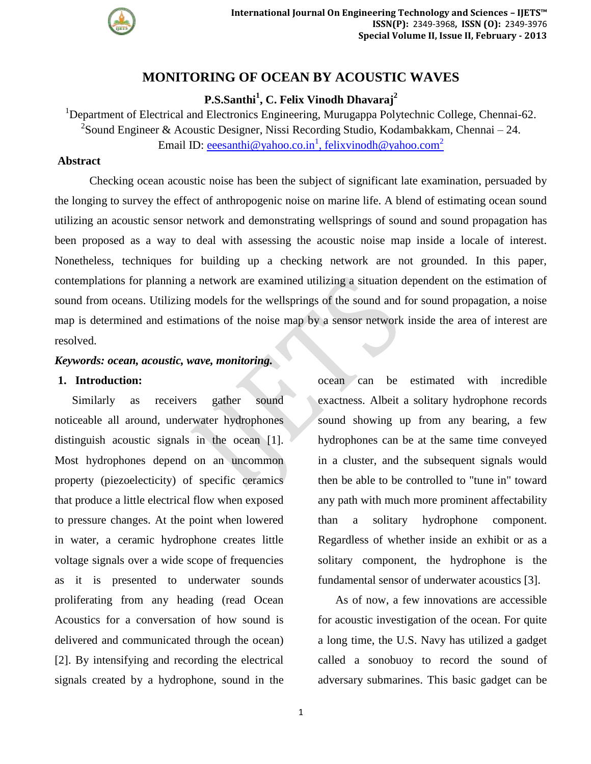

# **MONITORING OF OCEAN BY ACOUSTIC WAVES**

**P.S.Santhi<sup>1</sup> , C. Felix Vinodh Dhavaraj<sup>2</sup>**

<sup>1</sup>Department of Electrical and Electronics Engineering, Murugappa Polytechnic College, Chennai-62. <sup>2</sup>Sound Engineer & Acoustic Designer, Nissi Recording Studio, Kodambakkam, Chennai – 24. Email ID: <u>eeesanthi@yahoo.co.in<sup>1</sup>[, felixvinodh@yahoo.com](mailto:eeesanthi@yahoo.co.in1,%20felixvinodh@yahoo.com2)<sup>2</sup></u>

#### **Abstract**

Checking ocean acoustic noise has been the subject of significant late examination, persuaded by the longing to survey the effect of anthropogenic noise on marine life. A blend of estimating ocean sound utilizing an acoustic sensor network and demonstrating wellsprings of sound and sound propagation has been proposed as a way to deal with assessing the acoustic noise map inside a locale of interest. Nonetheless, techniques for building up a checking network are not grounded. In this paper, contemplations for planning a network are examined utilizing a situation dependent on the estimation of sound from oceans. Utilizing models for the wellsprings of the sound and for sound propagation, a noise map is determined and estimations of the noise map by a sensor network inside the area of interest are resolved.

## *Keywords: ocean, acoustic, wave, monitoring.*

#### **1. Introduction:**

Similarly as receivers gather sound noticeable all around, underwater hydrophones distinguish acoustic signals in the ocean [1]. Most hydrophones depend on an uncommon property (piezoelecticity) of specific ceramics that produce a little electrical flow when exposed to pressure changes. At the point when lowered in water, a ceramic hydrophone creates little voltage signals over a wide scope of frequencies as it is presented to underwater sounds proliferating from any heading (read Ocean Acoustics for a conversation of how sound is delivered and communicated through the ocean) [2]. By intensifying and recording the electrical signals created by a hydrophone, sound in the

ocean can be estimated with incredible exactness. Albeit a solitary hydrophone records sound showing up from any bearing, a few hydrophones can be at the same time conveyed in a cluster, and the subsequent signals would then be able to be controlled to "tune in" toward any path with much more prominent affectability than a solitary hydrophone component. Regardless of whether inside an exhibit or as a solitary component, the hydrophone is the fundamental sensor of underwater acoustics [3].

As of now, a few innovations are accessible for acoustic investigation of the ocean. For quite a long time, the U.S. Navy has utilized a gadget called a sonobuoy to record the sound of adversary submarines. This basic gadget can be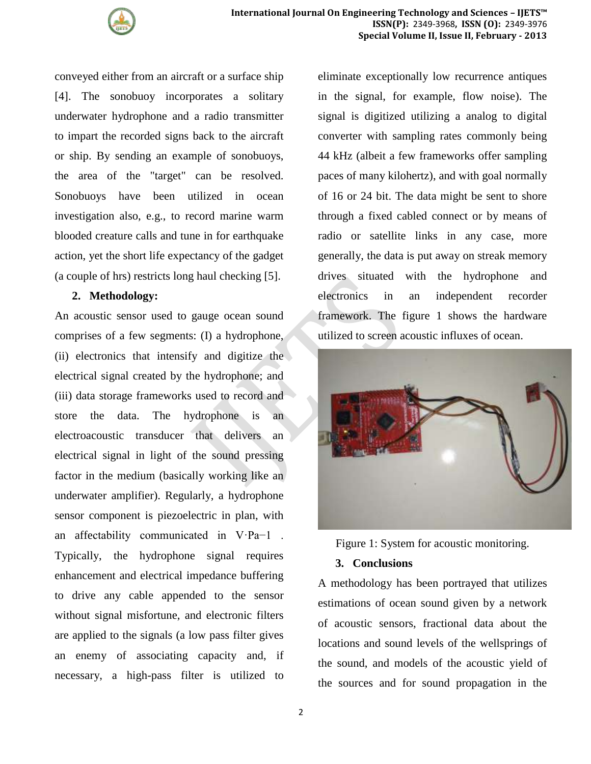

conveyed either from an aircraft or a surface ship [4]. The sonobuoy incorporates a solitary underwater hydrophone and a radio transmitter to impart the recorded signs back to the aircraft or ship. By sending an example of sonobuoys, the area of the "target" can be resolved. Sonobuoys have been utilized in ocean investigation also, e.g., to record marine warm blooded creature calls and tune in for earthquake action, yet the short life expectancy of the gadget (a couple of hrs) restricts long haul checking [5].

#### **2. Methodology:**

An acoustic sensor used to gauge ocean sound comprises of a few segments: (I) a hydrophone, (ii) electronics that intensify and digitize the electrical signal created by the hydrophone; and (iii) data storage frameworks used to record and store the data. The hydrophone is an electroacoustic transducer that delivers an electrical signal in light of the sound pressing factor in the medium (basically working like an underwater amplifier). Regularly, a hydrophone sensor component is piezoelectric in plan, with an affectability communicated in V·Pa−1 . Typically, the hydrophone signal requires enhancement and electrical impedance buffering to drive any cable appended to the sensor without signal misfortune, and electronic filters are applied to the signals (a low pass filter gives an enemy of associating capacity and, if necessary, a high-pass filter is utilized to

eliminate exceptionally low recurrence antiques in the signal, for example, flow noise). The signal is digitized utilizing a analog to digital converter with sampling rates commonly being 44 kHz (albeit a few frameworks offer sampling paces of many kilohertz), and with goal normally of 16 or 24 bit. The data might be sent to shore through a fixed cabled connect or by means of radio or satellite links in any case, more generally, the data is put away on streak memory drives situated with the hydrophone and electronics in an independent recorder framework. The figure 1 shows the hardware utilized to screen acoustic influxes of ocean.



Figure 1: System for acoustic monitoring.

#### **3. Conclusions**

A methodology has been portrayed that utilizes estimations of ocean sound given by a network of acoustic sensors, fractional data about the locations and sound levels of the wellsprings of the sound, and models of the acoustic yield of the sources and for sound propagation in the